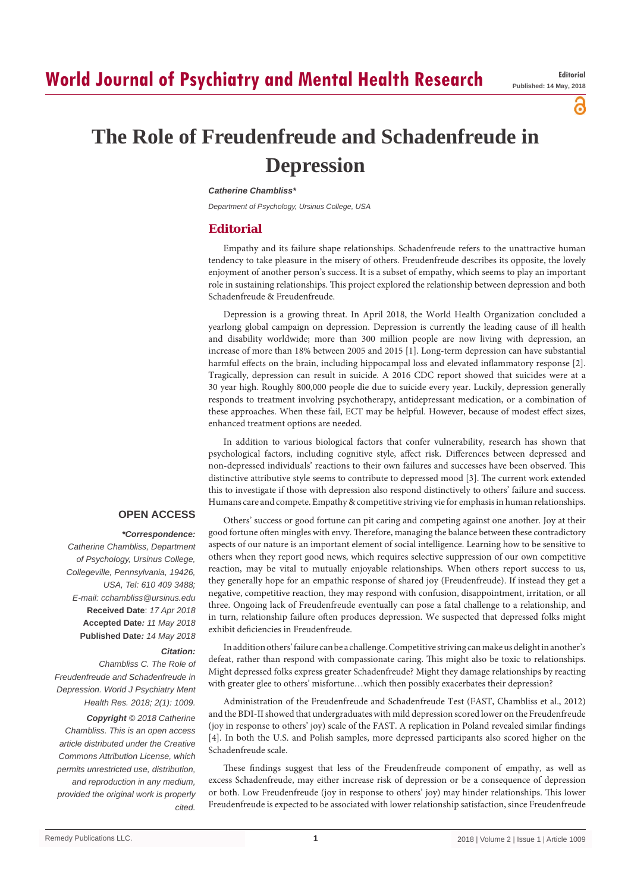а

# **The Role of Freudenfreude and Schadenfreude in Depression**

#### *Catherine Chambliss\**

*Department of Psychology, Ursinus College, USA*

# **Editorial**

Empathy and its failure shape relationships. Schadenfreude refers to the unattractive human tendency to take pleasure in the misery of others. Freudenfreude describes its opposite, the lovely enjoyment of another person's success. It is a subset of empathy, which seems to play an important role in sustaining relationships. This project explored the relationship between depression and both Schadenfreude & Freudenfreude.

Depression is a growing threat. In April 2018, the World Health Organization concluded a yearlong global campaign on depression. Depression is currently the leading cause of ill health and disability worldwide; more than 300 million people are now living with depression, an increase of more than 18% between 2005 and 2015 [1]. Long-term depression can have substantial harmful effects on the brain, including hippocampal loss and elevated inflammatory response [2]. Tragically, depression can result in suicide. A 2016 CDC report showed that suicides were at a 30 year high. Roughly 800,000 people die due to suicide every year. Luckily, depression generally responds to treatment involving psychotherapy, antidepressant medication, or a combination of these approaches. When these fail, ECT may be helpful. However, because of modest effect sizes, enhanced treatment options are needed.

In addition to various biological factors that confer vulnerability, research has shown that psychological factors, including cognitive style, affect risk. Differences between depressed and non-depressed individuals' reactions to their own failures and successes have been observed. This distinctive attributive style seems to contribute to depressed mood [3]. The current work extended this to investigate if those with depression also respond distinctively to others' failure and success. Humans care and compete. Empathy & competitive striving vie for emphasis in human relationships.

## **OPEN ACCESS**

#### *\*Correspondence:*

*Catherine Chambliss, Department of Psychology, Ursinus College, Collegeville, Pennsylvania, 19426, USA, Tel: 610 409 3488; E-mail: cchambliss@ursinus.edu* **Received Date**: *17 Apr 2018* **Accepted Date***: 11 May 2018* **Published Date***: 14 May 2018*

## *Citation:*

*Chambliss C. The Role of Freudenfreude and Schadenfreude in Depression. World J Psychiatry Ment Health Res. 2018; 2(1): 1009.*

*Copyright © 2018 Catherine Chambliss. This is an open access article distributed under the Creative Commons Attribution License, which permits unrestricted use, distribution, and reproduction in any medium, provided the original work is properly cited.*

Others' success or good fortune can pit caring and competing against one another. Joy at their good fortune often mingles with envy. Therefore, managing the balance between these contradictory aspects of our nature is an important element of social intelligence. Learning how to be sensitive to others when they report good news, which requires selective suppression of our own competitive reaction, may be vital to mutually enjoyable relationships. When others report success to us, they generally hope for an empathic response of shared joy (Freudenfreude). If instead they get a negative, competitive reaction, they may respond with confusion, disappointment, irritation, or all three. Ongoing lack of Freudenfreude eventually can pose a fatal challenge to a relationship, and in turn, relationship failure often produces depression. We suspected that depressed folks might exhibit deficiencies in Freudenfreude.

In addition others' failure can be a challenge. Competitive striving can make us delight in another's defeat, rather than respond with compassionate caring. This might also be toxic to relationships. Might depressed folks express greater Schadenfreude? Might they damage relationships by reacting with greater glee to others' misfortune…which then possibly exacerbates their depression?

Administration of the Freudenfreude and Schadenfreude Test (FAST, Chambliss et al., 2012) and the BDI-II showed that undergraduates with mild depression scored lower on the Freudenfreude (joy in response to others' joy) scale of the FAST. A replication in Poland revealed similar findings [4]. In both the U.S. and Polish samples, more depressed participants also scored higher on the Schadenfreude scale.

These findings suggest that less of the Freudenfreude component of empathy, as well as excess Schadenfreude, may either increase risk of depression or be a consequence of depression or both. Low Freudenfreude (joy in response to others' joy) may hinder relationships. This lower Freudenfreude is expected to be associated with lower relationship satisfaction, since Freudenfreude